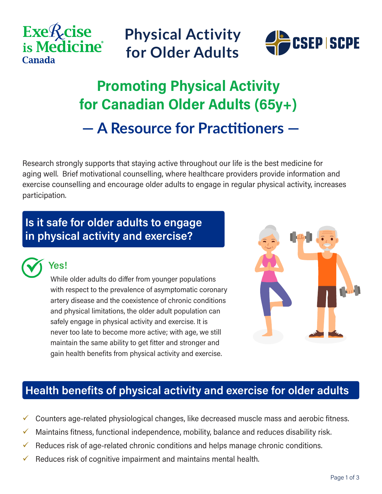





## **Promoting Physical Activity for Canadian Older Adults (65y+) — A Resource for Practitioners —**

Research strongly supports that staying active throughout our life is the best medicine for aging well. Brief motivational counselling, where healthcare providers provide information and exercise counselling and encourage older adults to engage in regular physical activity, increases participation.

### **Is it safe for older adults to engage in physical activity and exercise?**



### **Yes!**

While older adults do differ from younger populations with respect to the prevalence of asymptomatic coronary artery disease and the coexistence of chronic conditions and physical limitations, the older adult population can safely engage in physical activity and exercise. It is never too late to become more active; with age, we still maintain the same ability to get fitter and stronger and gain health benefits from physical activity and exercise.



### **Health benefits of physical activity and exercise for older adults**

- Counters age-related physiological changes, like decreased muscle mass and aerobic fitness.
- $\checkmark$  Maintains fitness, functional independence, mobility, balance and reduces disability risk.
- $\checkmark$  Reduces risk of age-related chronic conditions and helps manage chronic conditions.
- Reduces risk of cognitive impairment and maintains mental health.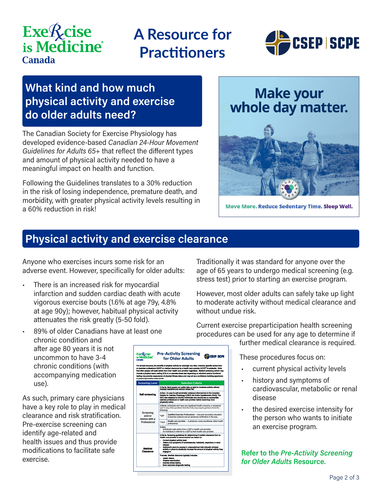# **Exe***Acise* is Medicine<sup>®</sup> **Canada**

## **A Resource for Practitioners**



### **What kind and how much physical activity and exercise do older adults need?**

The Canadian Society for Exercise Physiology has developed evidence-based *Canadian 24-Hour Movement Guidelines for Adults 65+* that reflect the different types and amount of physical activity needed to have a meaningful impact on health and function.

Following the Guidelines translates to a 30% reduction in the risk of losing independence, premature death, and morbidity, with greater physical activity levels resulting in a 60% reduction in risk!

### **Make your** whole day matter.



Move More. Reduce Sedentary Time. Sleep Well.

### **Physical activity and exercise clearance**

Anyone who exercises incurs some risk for an adverse event. However, specifically for older adults:

- There is an increased risk for myocardial infarction and sudden cardiac death with acute vigorous exercise bouts (1.6% at age 79y, 4.8% at age 90y); however, habitual physical activity attenuates the risk greatly (5-50 fold).
- 89% of older Canadians have at least one chronic condition and after age 80 years it is not uncommon to have 3-4 chronic conditions (with accompanying medication use).

As such, primary care physicians have a key role to play in medical clearance and risk stratification. Pre-exercise screening can identify age-related and health issues and thus provide modifications to facilitate safe exercise.

| <b>ExeRcise</b><br>is Medicine'<br><b>Contactor</b><br>to previously inactive older adults. | <b>Pre-Activity Screening</b><br><b>Alb</b> csep scre<br>for Older Adults<br>For almost everyone, the benefits of physical activity far outwaigh any risks. However, specific advice from<br>an exercise professional (OEP)* or medical clearance by a health care provider (HCP)** is advisable. Note.<br>that often people will seek advice from their health care provider regardless. Medical screening (which may<br>Include a physical coam, realing ECG or an exercise stress test depending on situation) and/or functional<br>testing may provide reassurance of physical fitness status and may act as a confidence building coperience |
|---------------------------------------------------------------------------------------------|---------------------------------------------------------------------------------------------------------------------------------------------------------------------------------------------------------------------------------------------------------------------------------------------------------------------------------------------------------------------------------------------------------------------------------------------------------------------------------------------------------------------------------------------------------------------------------------------------------------------------------------------------|
| <b>Screening Level</b>                                                                      | <b>Selection Criteria</b>                                                                                                                                                                                                                                                                                                                                                                                                                                                                                                                                                                                                                         |
| Self-screening                                                                              | Criteris, Most pacole can safely take up light to moderate activity without<br>medical clearance and without undue risk.                                                                                                                                                                                                                                                                                                                                                                                                                                                                                                                          |
|                                                                                             | Action, An easy to self-administer evidence-informed tool is the Canadian<br>Society for Exarcise Physiology (CSEP) Get Active Questionnaire (GAD). The<br>GAO was designed to identify individuals who should see an appropriate<br>coarcise professional or health care provider before becoming more<br>physically active.                                                                                                                                                                                                                                                                                                                     |
| Screening<br>and/or<br>Advice with a<br>Professional                                        | Criteria, individuals who have any significant health concerns, or answered<br>'yes' to any of the questions from the GAO, may require quidance from the<br>following:                                                                                                                                                                                                                                                                                                                                                                                                                                                                            |
|                                                                                             | Qualified Exercise Professional - Has post-secondary education<br>*OEP<br>in exercise sciences and an advanced certification in the area.                                                                                                                                                                                                                                                                                                                                                                                                                                                                                                         |
|                                                                                             | Health care provider - A physician, nurse practitioner, allied health<br>**HCP<br>professional.                                                                                                                                                                                                                                                                                                                                                                                                                                                                                                                                                   |
|                                                                                             | Action.<br>Individuals seek advice from a QEP or health care provider<br>An individual is referred to a QEP by their health care provider                                                                                                                                                                                                                                                                                                                                                                                                                                                                                                         |
| Medical<br>Clearance                                                                        | Criteria. Screening guidelines for determining if medical clearance from an<br>Health care provider is recommended are based on:<br>Current physical activity layel<br>History and aymetoms of cardiovascular, metabolic, respiratory or renal<br>disease<br>includual's plans to engage in ungecustomed high-intensity physical<br>activity or plans to drastically increase the amount of physical activity they<br>gnasce in.<br>Process. Madical clearance typically includes:                                                                                                                                                                |
|                                                                                             | Health Natory<br>Physical examination<br>Exercise atress testing                                                                                                                                                                                                                                                                                                                                                                                                                                                                                                                                                                                  |

Traditionally it was standard for anyone over the age of 65 years to undergo medical screening (e.g. stress test) prior to starting an exercise program.

However, most older adults can safely take up light to moderate activity without medical clearance and without undue risk.

Current exercise preparticipation health screening procedures can be used for any age to determine if

further medical clearance is required.

These procedures focus on:

- current physical activity levels
- history and symptoms of cardiovascular, metabolic or renal disease
- the desired exercise intensity for the person who wants to initiate an exercise program.

**Refer to the** *Pre-Activity Screening for Older Adults* **Resource.**